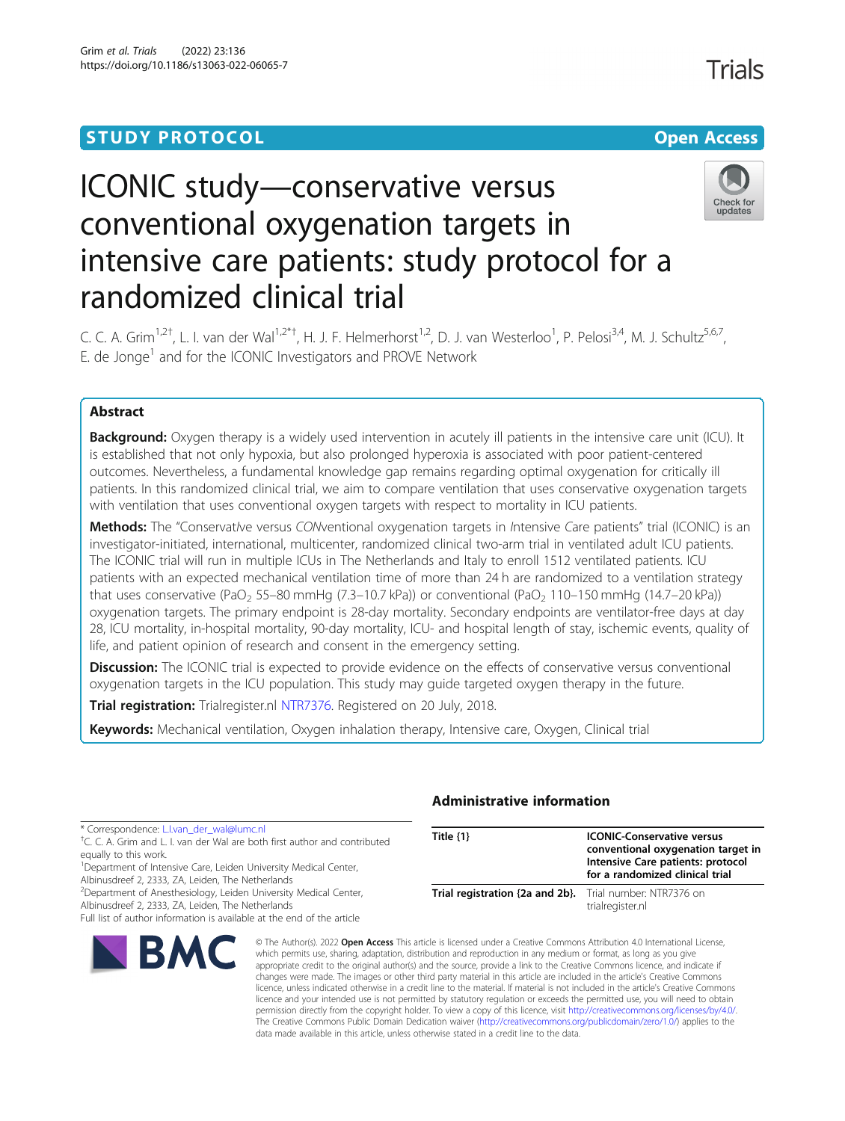## **STUDY PROTOCOL CONSUMING THE RESERVE ACCESS**

Check for update:

# ICONIC study—conservative versus conventional oxygenation targets in intensive care patients: study protocol for a randomized clinical trial

C. C. A. Grim<sup>1,2†</sup>, L. I. van der Wal<sup>1,2\*†</sup>, H. J. F. Helmerhorst<sup>1,2</sup>, D. J. van Westerloo<sup>1</sup>, P. Pelosi<sup>3,4</sup>, M. J. Schultz<sup>5,6,7</sup>, E. de Jonge<sup>1</sup> and for the ICONIC Investigators and PROVE Network

### Abstract

**NBMC** 

Background: Oxygen therapy is a widely used intervention in acutely ill patients in the intensive care unit (ICU). It is established that not only hypoxia, but also prolonged hyperoxia is associated with poor patient-centered outcomes. Nevertheless, a fundamental knowledge gap remains regarding optimal oxygenation for critically ill patients. In this randomized clinical trial, we aim to compare ventilation that uses conservative oxygenation targets with ventilation that uses conventional oxygen targets with respect to mortality in ICU patients.

Methods: The "Conservative versus CONventional oxygenation targets in Intensive Care patients" trial (ICONIC) is an investigator-initiated, international, multicenter, randomized clinical two-arm trial in ventilated adult ICU patients. The ICONIC trial will run in multiple ICUs in The Netherlands and Italy to enroll 1512 ventilated patients. ICU patients with an expected mechanical ventilation time of more than 24 h are randomized to a ventilation strategy that uses conservative (PaO<sub>2</sub> 55–80 mmHg (7.3–10.7 kPa)) or conventional (PaO<sub>2</sub> 110–150 mmHg (14.7–20 kPa)) oxygenation targets. The primary endpoint is 28-day mortality. Secondary endpoints are ventilator-free days at day 28, ICU mortality, in-hospital mortality, 90-day mortality, ICU- and hospital length of stay, ischemic events, quality of life, and patient opinion of research and consent in the emergency setting.

**Discussion:** The ICONIC trial is expected to provide evidence on the effects of conservative versus conventional oxygenation targets in the ICU population. This study may guide targeted oxygen therapy in the future.

**Trial registration:** Trialregister.nl [NTR7376.](https://www.trialregister.nl/trial/7185) Registered on 20 July, 2018.

Keywords: Mechanical ventilation, Oxygen inhalation therapy, Intensive care, Oxygen, Clinical trial

| * Correspondence: L.I.van der wal@lumc.nl<br><sup>†</sup> C. C. A. Grim and L. I. van der Wal are both first author and contributed<br>equally to this work.<br><sup>1</sup> Department of Intensive Care, Leiden University Medical Center,<br>Albinusdreef 2, 2333, ZA, Leiden, The Netherlands<br><sup>2</sup> Department of Anesthesiology, Leiden University Medical Center,<br>Albinusdreef 2, 2333, ZA, Leiden, The Netherlands<br>Full list of author information is available at the end of the article | Title $\{1\}$                                            | <b>ICONIC-Conservative versus</b><br>conventional oxygenation target in<br>Intensive Care patients: protocol<br>for a randomized clinical trial |
|------------------------------------------------------------------------------------------------------------------------------------------------------------------------------------------------------------------------------------------------------------------------------------------------------------------------------------------------------------------------------------------------------------------------------------------------------------------------------------------------------------------|----------------------------------------------------------|-------------------------------------------------------------------------------------------------------------------------------------------------|
|                                                                                                                                                                                                                                                                                                                                                                                                                                                                                                                  | Trial registration {2a and 2b}. Trial number: NTR7376 on | trialregister.nl                                                                                                                                |

### Administrative information

© The Author(s), 2022 **Open Access** This article is licensed under a Creative Commons Attribution 4.0 International License, which permits use, sharing, adaptation, distribution and reproduction in any medium or format, as long as you give appropriate credit to the original author(s) and the source, provide a link to the Creative Commons licence, and indicate if changes were made. The images or other third party material in this article are included in the article's Creative Commons licence, unless indicated otherwise in a credit line to the material. If material is not included in the article's Creative Commons licence and your intended use is not permitted by statutory regulation or exceeds the permitted use, you will need to obtain permission directly from the copyright holder. To view a copy of this licence, visit [http://creativecommons.org/licenses/by/4.0/.](http://creativecommons.org/licenses/by/4.0/) The Creative Commons Public Domain Dedication waiver [\(http://creativecommons.org/publicdomain/zero/1.0/](http://creativecommons.org/publicdomain/zero/1.0/)) applies to the data made available in this article, unless otherwise stated in a credit line to the data.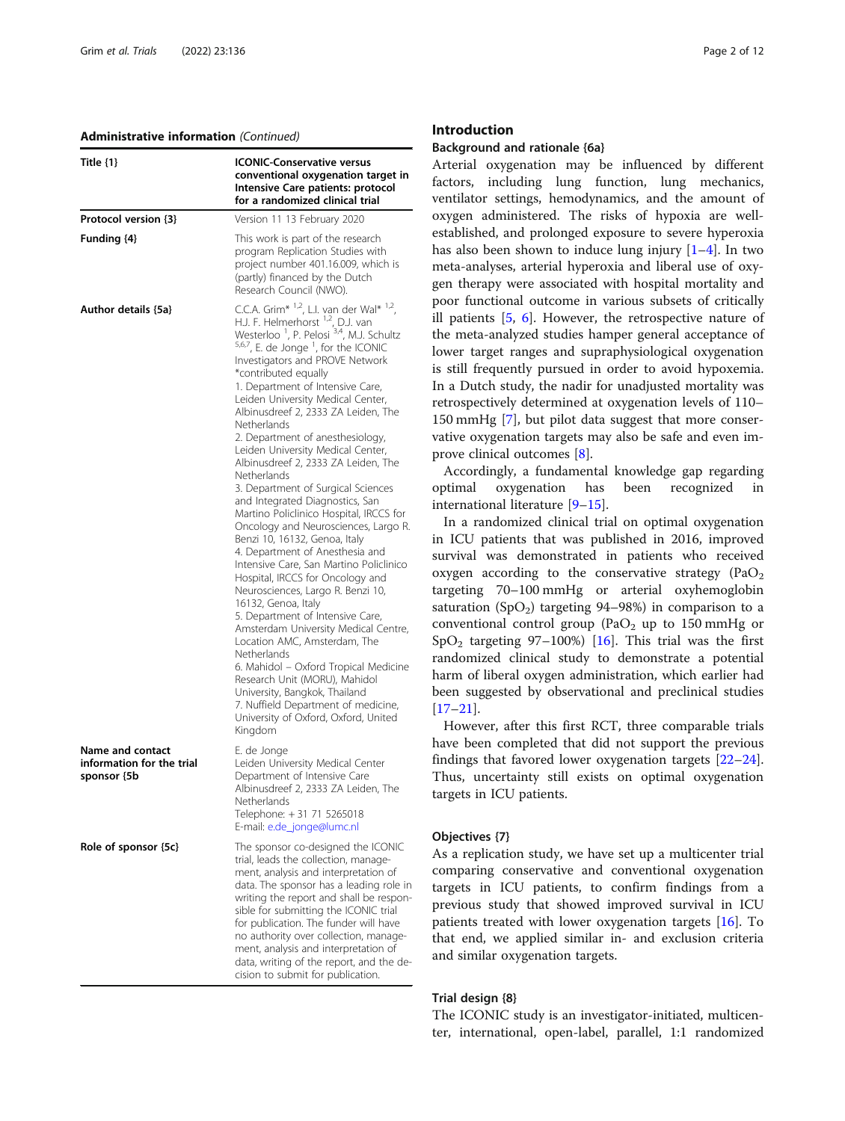#### Administrative information (Continued)

| Title $\{1\}$                                                | <b>ICONIC-Conservative versus</b><br>conventional oxygenation target in<br>Intensive Care patients: protocol<br>for a randomized clinical trial                                                                                                                                                                                                                                                                                                                                                                                                                                                                                                                                                                                                                                                                                                                                                                                                                                                                                                                                                                                                                                                                                                       |  |  |  |  |  |
|--------------------------------------------------------------|-------------------------------------------------------------------------------------------------------------------------------------------------------------------------------------------------------------------------------------------------------------------------------------------------------------------------------------------------------------------------------------------------------------------------------------------------------------------------------------------------------------------------------------------------------------------------------------------------------------------------------------------------------------------------------------------------------------------------------------------------------------------------------------------------------------------------------------------------------------------------------------------------------------------------------------------------------------------------------------------------------------------------------------------------------------------------------------------------------------------------------------------------------------------------------------------------------------------------------------------------------|--|--|--|--|--|
| Protocol version {3}                                         | Version 11 13 February 2020                                                                                                                                                                                                                                                                                                                                                                                                                                                                                                                                                                                                                                                                                                                                                                                                                                                                                                                                                                                                                                                                                                                                                                                                                           |  |  |  |  |  |
| Funding {4}                                                  | This work is part of the research<br>program Replication Studies with<br>project number 401.16.009, which is<br>(partly) financed by the Dutch<br>Research Council (NWO).                                                                                                                                                                                                                                                                                                                                                                                                                                                                                                                                                                                                                                                                                                                                                                                                                                                                                                                                                                                                                                                                             |  |  |  |  |  |
| Author details {5a}                                          | C.C.A. Grim* $1,2$ , L.I. van der Wal* $1,2$ ,<br>H.J. F. Helmerhorst $^{1,2}$ , D.J. van<br>Westerloo <sup>1</sup> , P. Pelosi <sup>3,4</sup> , M.J. Schultz<br>5,6,7, E. de Jonge <sup>1</sup> , for the ICONIC<br>Investigators and PROVE Network<br>*contributed equally<br>1. Department of Intensive Care,<br>Leiden University Medical Center,<br>Albinusdreef 2, 2333 ZA Leiden, The<br>Netherlands<br>2. Department of anesthesiology,<br>Leiden University Medical Center,<br>Albinusdreef 2, 2333 ZA Leiden, The<br>Netherlands<br>3. Department of Surgical Sciences<br>and Integrated Diagnostics, San<br>Martino Policlinico Hospital, IRCCS for<br>Oncology and Neurosciences, Largo R.<br>Benzi 10, 16132, Genoa, Italy<br>4. Department of Anesthesia and<br>Intensive Care, San Martino Policlinico<br>Hospital, IRCCS for Oncology and<br>Neurosciences, Largo R. Benzi 10,<br>16132, Genoa, Italy<br>5. Department of Intensive Care,<br>Amsterdam University Medical Centre,<br>Location AMC, Amsterdam, The<br>Netherlands<br>6. Mahidol – Oxford Tropical Medicine<br>Research Unit (MORU), Mahidol<br>University, Bangkok, Thailand<br>7. Nuffield Department of medicine,<br>University of Oxford, Oxford, United<br>Kingdom |  |  |  |  |  |
| Name and contact<br>information for the trial<br>sponsor {5b | E. de Jonge<br>Leiden University Medical Center<br>Department of Intensive Care<br>Albinusdreef 2, 2333 ZA Leiden, The<br>Netherlands<br>Telephone: +31 71 5265018<br>E-mail: e.de_jonge@lumc.nl                                                                                                                                                                                                                                                                                                                                                                                                                                                                                                                                                                                                                                                                                                                                                                                                                                                                                                                                                                                                                                                      |  |  |  |  |  |
| Role of sponsor {5c}                                         | The sponsor co-designed the ICONIC<br>trial, leads the collection, manage-<br>ment, analysis and interpretation of<br>data. The sponsor has a leading role in<br>writing the report and shall be respon-<br>sible for submitting the ICONIC trial<br>for publication. The funder will have<br>no authority over collection, manage-<br>ment, analysis and interpretation of<br>data, writing of the report, and the de-<br>cision to submit for publication.                                                                                                                                                                                                                                                                                                                                                                                                                                                                                                                                                                                                                                                                                                                                                                                          |  |  |  |  |  |

#### Introduction

### Background and rationale {6a}

Arterial oxygenation may be influenced by different factors, including lung function, lung mechanics, ventilator settings, hemodynamics, and the amount of oxygen administered. The risks of hypoxia are wellestablished, and prolonged exposure to severe hyperoxia has also been shown to induce lung injury  $[1-4]$  $[1-4]$  $[1-4]$ . In two meta-analyses, arterial hyperoxia and liberal use of oxygen therapy were associated with hospital mortality and poor functional outcome in various subsets of critically ill patients [\[5](#page-10-0), [6\]](#page-10-0). However, the retrospective nature of the meta-analyzed studies hamper general acceptance of lower target ranges and supraphysiological oxygenation is still frequently pursued in order to avoid hypoxemia. In a Dutch study, the nadir for unadjusted mortality was retrospectively determined at oxygenation levels of 110– 150 mmHg [[7\]](#page-10-0), but pilot data suggest that more conservative oxygenation targets may also be safe and even improve clinical outcomes [[8\]](#page-10-0).

Accordingly, a fundamental knowledge gap regarding optimal oxygenation has been recognized in international literature [\[9](#page-10-0)–[15](#page-11-0)].

In a randomized clinical trial on optimal oxygenation in ICU patients that was published in 2016, improved survival was demonstrated in patients who received oxygen according to the conservative strategy  $(PaO<sub>2</sub>)$ targeting 70–100 mmHg or arterial oxyhemoglobin saturation (SpO<sub>2</sub>) targeting 94–98%) in comparison to a conventional control group (PaO<sub>2</sub> up to 150 mmHg or SpO<sub>2</sub> targeting 97–100%) [[16\]](#page-11-0). This trial was the first randomized clinical study to demonstrate a potential harm of liberal oxygen administration, which earlier had been suggested by observational and preclinical studies [[17](#page-11-0)–[21](#page-11-0)].

However, after this first RCT, three comparable trials have been completed that did not support the previous findings that favored lower oxygenation targets [[22](#page-11-0)–[24](#page-11-0)]. Thus, uncertainty still exists on optimal oxygenation targets in ICU patients.

### Objectives {7}

As a replication study, we have set up a multicenter trial comparing conservative and conventional oxygenation targets in ICU patients, to confirm findings from a previous study that showed improved survival in ICU patients treated with lower oxygenation targets [\[16\]](#page-11-0). To that end, we applied similar in- and exclusion criteria and similar oxygenation targets.

### Trial design {8}

The ICONIC study is an investigator-initiated, multicenter, international, open-label, parallel, 1:1 randomized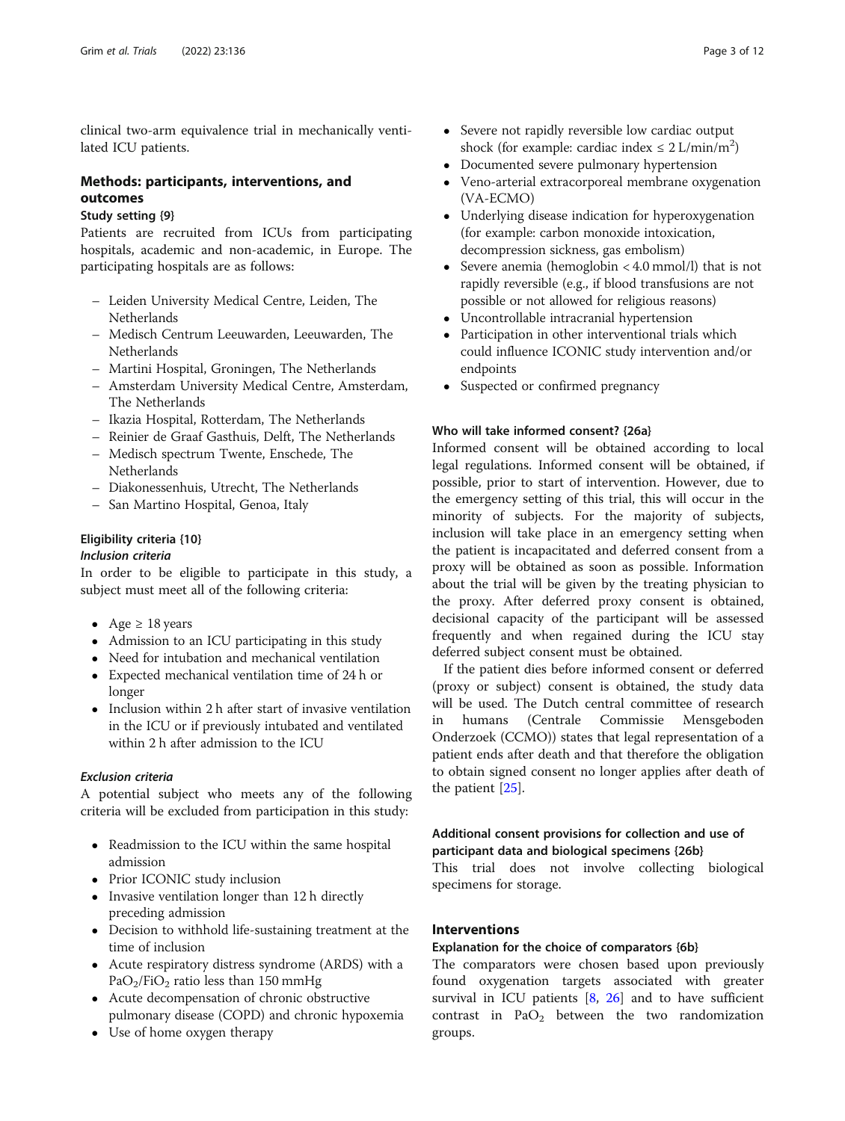clinical two-arm equivalence trial in mechanically ventilated ICU patients.

### Methods: participants, interventions, and outcomes

### Study setting {9}

Patients are recruited from ICUs from participating hospitals, academic and non-academic, in Europe. The participating hospitals are as follows:

- Leiden University Medical Centre, Leiden, The Netherlands
- Medisch Centrum Leeuwarden, Leeuwarden, The Netherlands
- Martini Hospital, Groningen, The Netherlands
- Amsterdam University Medical Centre, Amsterdam, The Netherlands
- Ikazia Hospital, Rotterdam, The Netherlands
- Reinier de Graaf Gasthuis, Delft, The Netherlands
- Medisch spectrum Twente, Enschede, The Netherlands
- Diakonessenhuis, Utrecht, The Netherlands
- San Martino Hospital, Genoa, Italy

### Eligibility criteria {10}

### Inclusion criteria

In order to be eligible to participate in this study, a subject must meet all of the following criteria:

- Age  $\geq 18$  years
- Admission to an ICU participating in this study
- Need for intubation and mechanical ventilation
- Expected mechanical ventilation time of 24 h or longer
- Inclusion within 2 h after start of invasive ventilation in the ICU or if previously intubated and ventilated within 2 h after admission to the ICU

### Exclusion criteria

A potential subject who meets any of the following criteria will be excluded from participation in this study:

- Readmission to the ICU within the same hospital admission
- Prior ICONIC study inclusion
- Invasive ventilation longer than 12 h directly preceding admission
- Decision to withhold life-sustaining treatment at the time of inclusion
- Acute respiratory distress syndrome (ARDS) with a  $PaO<sub>2</sub>/FiO<sub>2</sub>$  ratio less than 150 mmHg
- Acute decompensation of chronic obstructive pulmonary disease (COPD) and chronic hypoxemia
- Use of home oxygen therapy
- Severe not rapidly reversible low cardiac output shock (for example: cardiac index  $\leq 2$  L/min/m<sup>2</sup>)
- Documented severe pulmonary hypertension
- Veno-arterial extracorporeal membrane oxygenation (VA-ECMO)
- Underlying disease indication for hyperoxygenation (for example: carbon monoxide intoxication, decompression sickness, gas embolism)
- Severe anemia (hemoglobin  $<$  4.0 mmol/l) that is not rapidly reversible (e.g., if blood transfusions are not possible or not allowed for religious reasons)
- Uncontrollable intracranial hypertension
- Participation in other interventional trials which could influence ICONIC study intervention and/or endpoints
- Suspected or confirmed pregnancy

### Who will take informed consent? {26a}

Informed consent will be obtained according to local legal regulations. Informed consent will be obtained, if possible, prior to start of intervention. However, due to the emergency setting of this trial, this will occur in the minority of subjects. For the majority of subjects, inclusion will take place in an emergency setting when the patient is incapacitated and deferred consent from a proxy will be obtained as soon as possible. Information about the trial will be given by the treating physician to the proxy. After deferred proxy consent is obtained, decisional capacity of the participant will be assessed frequently and when regained during the ICU stay deferred subject consent must be obtained.

If the patient dies before informed consent or deferred (proxy or subject) consent is obtained, the study data will be used. The Dutch central committee of research in humans (Centrale Commissie Mensgeboden Onderzoek (CCMO)) states that legal representation of a patient ends after death and that therefore the obligation to obtain signed consent no longer applies after death of the patient [[25\]](#page-11-0).

### Additional consent provisions for collection and use of participant data and biological specimens {26b}

This trial does not involve collecting biological specimens for storage.

### Interventions

### Explanation for the choice of comparators {6b}

The comparators were chosen based upon previously found oxygenation targets associated with greater survival in ICU patients [\[8](#page-10-0), [26](#page-11-0)] and to have sufficient contrast in  $PaO<sub>2</sub>$  between the two randomization groups.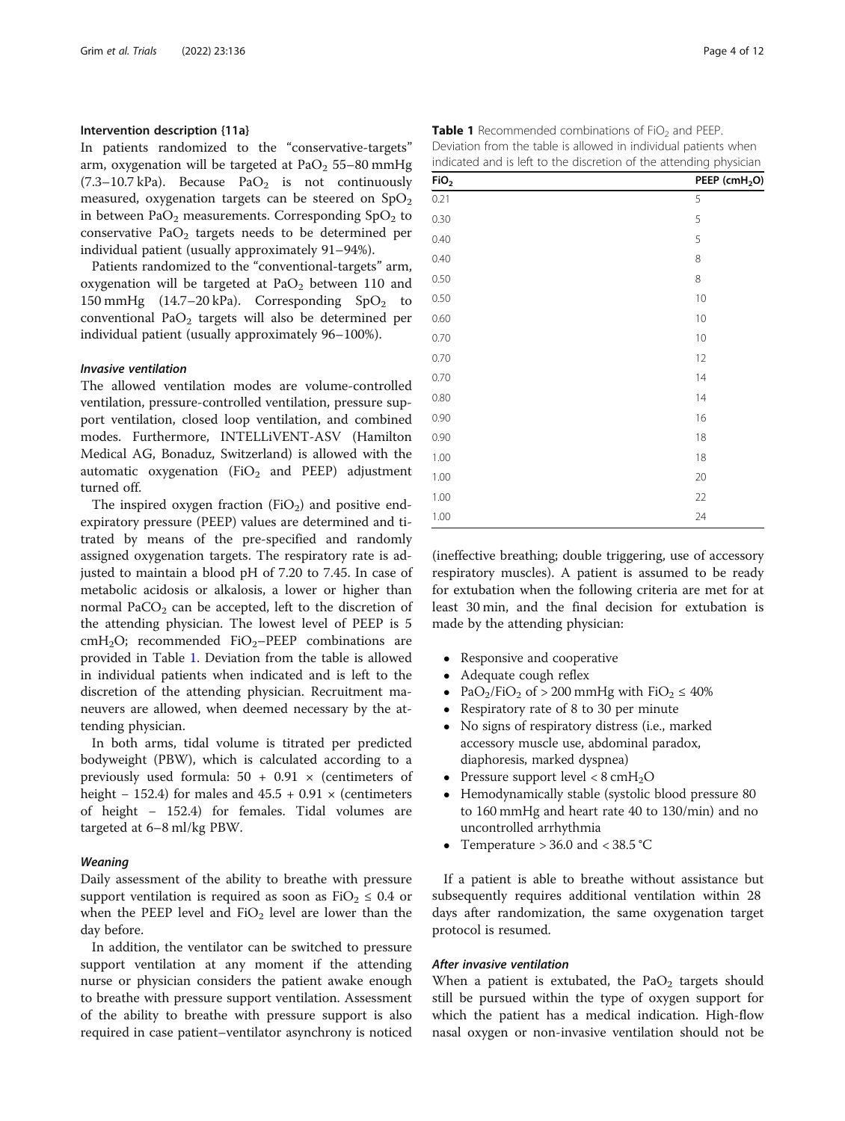#### Intervention description {11a}

In patients randomized to the "conservative-targets" arm, oxygenation will be targeted at  $PaO<sub>2</sub> 55-80$  mmHg  $(7.3-10.7 \text{ kPa})$ . Because PaO<sub>2</sub> is not continuously measured, oxygenation targets can be steered on  $SpO<sub>2</sub>$ in between PaO<sub>2</sub> measurements. Corresponding  $SpO<sub>2</sub>$  to conservative  $PaO<sub>2</sub>$  targets needs to be determined per individual patient (usually approximately 91–94%).

Patients randomized to the "conventional-targets" arm, oxygenation will be targeted at  $PaO<sub>2</sub>$  between 110 and 150 mmHg  $(14.7-20 \text{ kPa})$ . Corresponding SpO<sub>2</sub> to conventional Pa $O_2$  targets will also be determined per individual patient (usually approximately 96–100%).

### Invasive ventilation

The allowed ventilation modes are volume-controlled ventilation, pressure-controlled ventilation, pressure support ventilation, closed loop ventilation, and combined modes. Furthermore, INTELLiVENT-ASV (Hamilton Medical AG, Bonaduz, Switzerland) is allowed with the automatic oxygenation  $(FiO<sub>2</sub>$  and PEEP) adjustment turned off.

The inspired oxygen fraction (FiO<sub>2</sub>) and positive endexpiratory pressure (PEEP) values are determined and titrated by means of the pre-specified and randomly assigned oxygenation targets. The respiratory rate is adjusted to maintain a blood pH of 7.20 to 7.45. In case of metabolic acidosis or alkalosis, a lower or higher than normal PaCO<sub>2</sub> can be accepted, left to the discretion of the attending physician. The lowest level of PEEP is 5  $cmH<sub>2</sub>O$ ; recommended FiO<sub>2</sub>-PEEP combinations are provided in Table 1. Deviation from the table is allowed in individual patients when indicated and is left to the discretion of the attending physician. Recruitment maneuvers are allowed, when deemed necessary by the attending physician.

In both arms, tidal volume is titrated per predicted bodyweight (PBW), which is calculated according to a previously used formula:  $50 + 0.91 \times$  (centimeters of height – 152.4) for males and  $45.5 + 0.91 \times$  (centimeters of height − 152.4) for females. Tidal volumes are targeted at 6–8 ml/kg PBW.

#### Weaning

Daily assessment of the ability to breathe with pressure support ventilation is required as soon as  $FiO<sub>2</sub> \leq 0.4$  or when the PEEP level and  $FiO<sub>2</sub>$  level are lower than the day before.

In addition, the ventilator can be switched to pressure support ventilation at any moment if the attending nurse or physician considers the patient awake enough to breathe with pressure support ventilation. Assessment of the ability to breathe with pressure support is also required in case patient–ventilator asynchrony is noticed

| ecommended combinations of FiO <sub>2</sub> and PEEP.    |
|----------------------------------------------------------|
| from the table is allowed in individual patients when    |
| and is left to the discretion of the attending physicial |
|                                                          |

| FiO <sub>2</sub> | PEEP (cmH <sub>2</sub> O) |  |  |  |  |  |  |
|------------------|---------------------------|--|--|--|--|--|--|
| 0.21             | 5                         |  |  |  |  |  |  |
| 0.30             | 5                         |  |  |  |  |  |  |
| 0.40             | 5                         |  |  |  |  |  |  |
| 0.40             | 8                         |  |  |  |  |  |  |
| 0.50             | 8                         |  |  |  |  |  |  |
| 0.50             | 10                        |  |  |  |  |  |  |
| 0.60             | 10                        |  |  |  |  |  |  |
| 0.70             | 10                        |  |  |  |  |  |  |
| 0.70             | 12                        |  |  |  |  |  |  |
| 0.70             | 14                        |  |  |  |  |  |  |
| 0.80             | 14                        |  |  |  |  |  |  |
| 0.90             | 16                        |  |  |  |  |  |  |
| 0.90             | 18                        |  |  |  |  |  |  |
| 1.00             | 18                        |  |  |  |  |  |  |
| 1.00             | 20                        |  |  |  |  |  |  |
| 1.00             | 22                        |  |  |  |  |  |  |
| 1.00             | 24                        |  |  |  |  |  |  |

(ineffective breathing; double triggering, use of accessory respiratory muscles). A patient is assumed to be ready for extubation when the following criteria are met for at least 30 min, and the final decision for extubation is made by the attending physician:

- Responsive and cooperative
- Adequate cough reflex<br>• Pa $O_2$ /Fi $O_2$  of > 200 mm

Table 1  $R$ Deviation indicated

- PaO<sub>2</sub>/FiO<sub>2</sub> of > 200 mmHg with FiO<sub>2</sub>  $\leq$  40%
- Respiratory rate of 8 to 30 per minute<br>• No signs of respiratory distress (i.e., m
- No signs of respiratory distress (i.e., marked accessory muscle use, abdominal paradox, diaphoresis, marked dyspnea)
- Pressure support level  $< 8 \text{ cm}H_2O$
- Hemodynamically stable (systolic blood pressure 80 to 160 mmHg and heart rate 40 to 130/min) and no uncontrolled arrhythmia
- Temperature  $> 36.0$  and  $< 38.5$  °C

If a patient is able to breathe without assistance but subsequently requires additional ventilation within 28 days after randomization, the same oxygenation target protocol is resumed.

### After invasive ventilation

When a patient is extubated, the  $PaO<sub>2</sub>$  targets should still be pursued within the type of oxygen support for which the patient has a medical indication. High-flow nasal oxygen or non-invasive ventilation should not be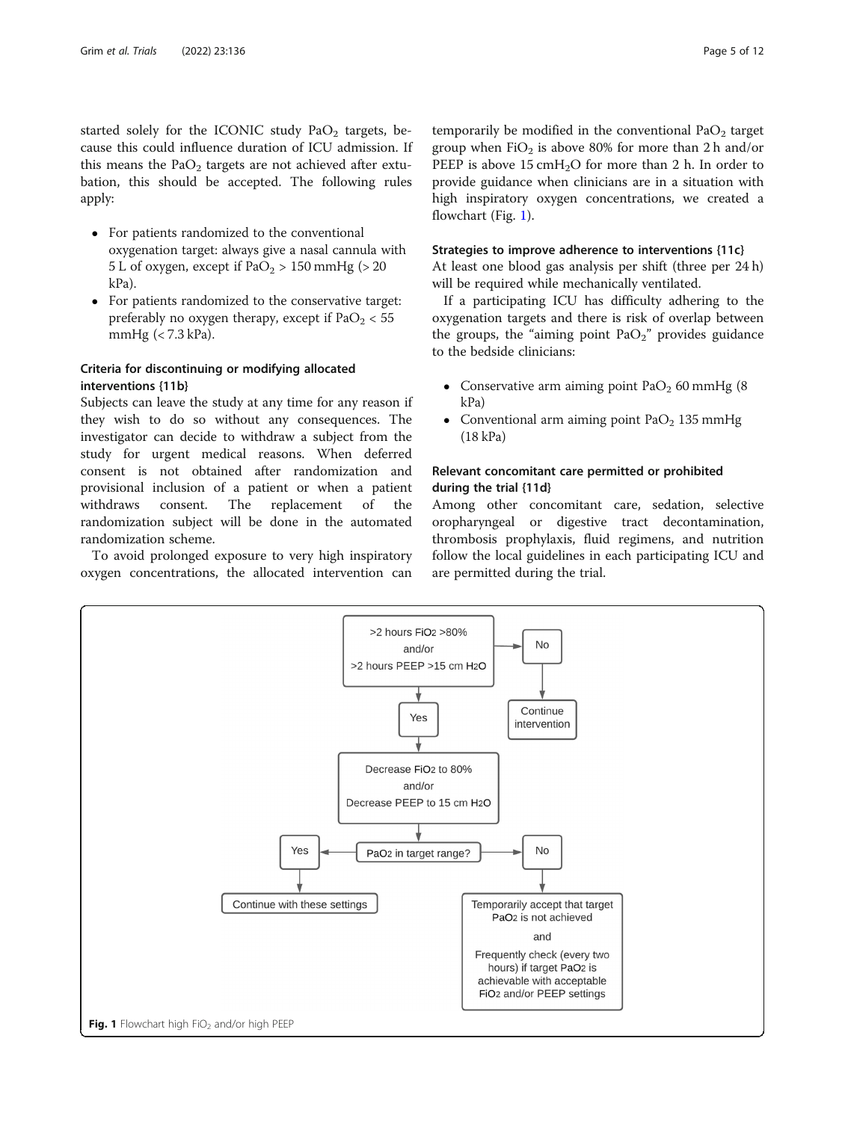started solely for the ICONIC study  $PaO<sub>2</sub>$  targets, because this could influence duration of ICU admission. If this means the PaO<sub>2</sub> targets are not achieved after extubation, this should be accepted. The following rules apply:

- For patients randomized to the conventional oxygenation target: always give a nasal cannula with 5 L of oxygen, except if  $PaO<sub>2</sub> > 150$  mmHg ( $> 20$ kPa).
- For patients randomized to the conservative target: preferably no oxygen therapy, except if  $PaO<sub>2</sub> < 55$ mmHg (< 7.3 kPa).

### Criteria for discontinuing or modifying allocated interventions {11b}

Subjects can leave the study at any time for any reason if they wish to do so without any consequences. The investigator can decide to withdraw a subject from the study for urgent medical reasons. When deferred consent is not obtained after randomization and provisional inclusion of a patient or when a patient withdraws consent. The replacement of the randomization subject will be done in the automated randomization scheme.

To avoid prolonged exposure to very high inspiratory oxygen concentrations, the allocated intervention can temporarily be modified in the conventional  $PaO<sub>2</sub>$  target group when  $FiO<sub>2</sub>$  is above 80% for more than 2 h and/or PEEP is above  $15 \text{ cm}H<sub>2</sub>O$  for more than 2 h. In order to provide guidance when clinicians are in a situation with high inspiratory oxygen concentrations, we created a flowchart (Fig. 1).

### Strategies to improve adherence to interventions {11c}

At least one blood gas analysis per shift (three per 24 h) will be required while mechanically ventilated.

If a participating ICU has difficulty adhering to the oxygenation targets and there is risk of overlap between the groups, the "aiming point  $PaO<sub>2</sub>$ " provides guidance to the bedside clinicians:

- Conservative arm aiming point  $PaO<sub>2</sub>$  60 mmHg (8) kPa)
- Conventional arm aiming point  $PaO<sub>2</sub>$  135 mmHg (18 kPa)

### Relevant concomitant care permitted or prohibited during the trial {11d}

Among other concomitant care, sedation, selective oropharyngeal or digestive tract decontamination, thrombosis prophylaxis, fluid regimens, and nutrition follow the local guidelines in each participating ICU and are permitted during the trial.

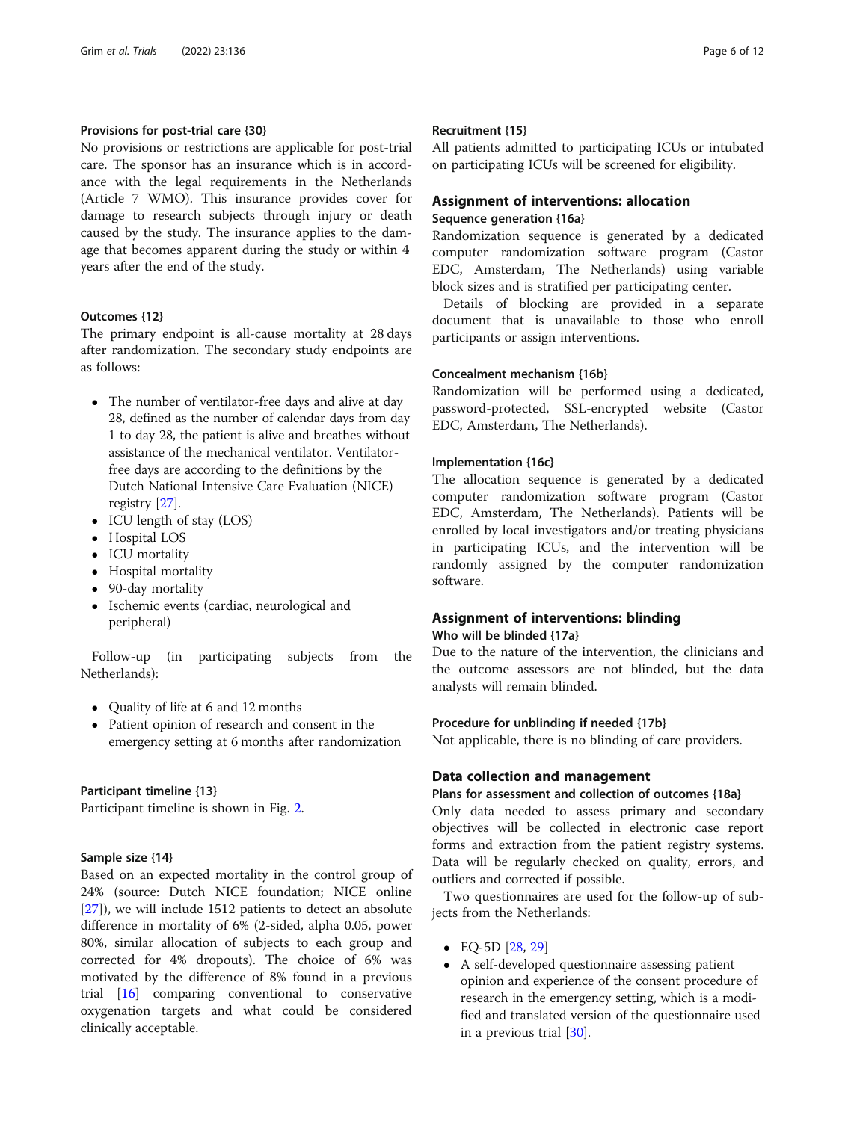### Provisions for post-trial care {30}

No provisions or restrictions are applicable for post-trial care. The sponsor has an insurance which is in accordance with the legal requirements in the Netherlands (Article 7 WMO). This insurance provides cover for damage to research subjects through injury or death caused by the study. The insurance applies to the damage that becomes apparent during the study or within 4 years after the end of the study.

### Outcomes {12}

The primary endpoint is all-cause mortality at 28 days after randomization. The secondary study endpoints are as follows:

- The number of ventilator-free days and alive at day 28, defined as the number of calendar days from day 1 to day 28, the patient is alive and breathes without assistance of the mechanical ventilator. Ventilatorfree days are according to the definitions by the Dutch National Intensive Care Evaluation (NICE) registry [[27](#page-11-0)].
- ICU length of stay (LOS)
- Hospital LOS
- ICU mortality
- Hospital mortality
- 90-day mortality
- Ischemic events (cardiac, neurological and peripheral)

Follow-up (in participating subjects from the Netherlands):

- Quality of life at 6 and 12 months
- Patient opinion of research and consent in the emergency setting at 6 months after randomization

### Participant timeline {13}

Participant timeline is shown in Fig. [2](#page-6-0).

### Sample size {14}

Based on an expected mortality in the control group of 24% (source: Dutch NICE foundation; NICE online [[27\]](#page-11-0)), we will include 1512 patients to detect an absolute difference in mortality of 6% (2-sided, alpha 0.05, power 80%, similar allocation of subjects to each group and corrected for 4% dropouts). The choice of 6% was motivated by the difference of 8% found in a previous trial [[16](#page-11-0)] comparing conventional to conservative oxygenation targets and what could be considered clinically acceptable.

### Recruitment {15}

All patients admitted to participating ICUs or intubated on participating ICUs will be screened for eligibility.

### Assignment of interventions: allocation Sequence generation {16a}

Randomization sequence is generated by a dedicated computer randomization software program (Castor EDC, Amsterdam, The Netherlands) using variable block sizes and is stratified per participating center.

Details of blocking are provided in a separate document that is unavailable to those who enroll participants or assign interventions.

### Concealment mechanism {16b}

Randomization will be performed using a dedicated, password-protected, SSL-encrypted website (Castor EDC, Amsterdam, The Netherlands).

#### Implementation {16c}

The allocation sequence is generated by a dedicated computer randomization software program (Castor EDC, Amsterdam, The Netherlands). Patients will be enrolled by local investigators and/or treating physicians in participating ICUs, and the intervention will be randomly assigned by the computer randomization software.

### Assignment of interventions: blinding Who will be blinded {17a}

Due to the nature of the intervention, the clinicians and the outcome assessors are not blinded, but the data analysts will remain blinded.

### Procedure for unblinding if needed {17b}

Not applicable, there is no blinding of care providers.

### Data collection and management

### Plans for assessment and collection of outcomes {18a}

Only data needed to assess primary and secondary objectives will be collected in electronic case report forms and extraction from the patient registry systems. Data will be regularly checked on quality, errors, and outliers and corrected if possible.

Two questionnaires are used for the follow-up of subjects from the Netherlands:

- $\bullet$  EQ-5D [\[28,](#page-11-0) [29\]](#page-11-0)
- A self-developed questionnaire assessing patient opinion and experience of the consent procedure of research in the emergency setting, which is a modified and translated version of the questionnaire used in a previous trial [[30](#page-11-0)].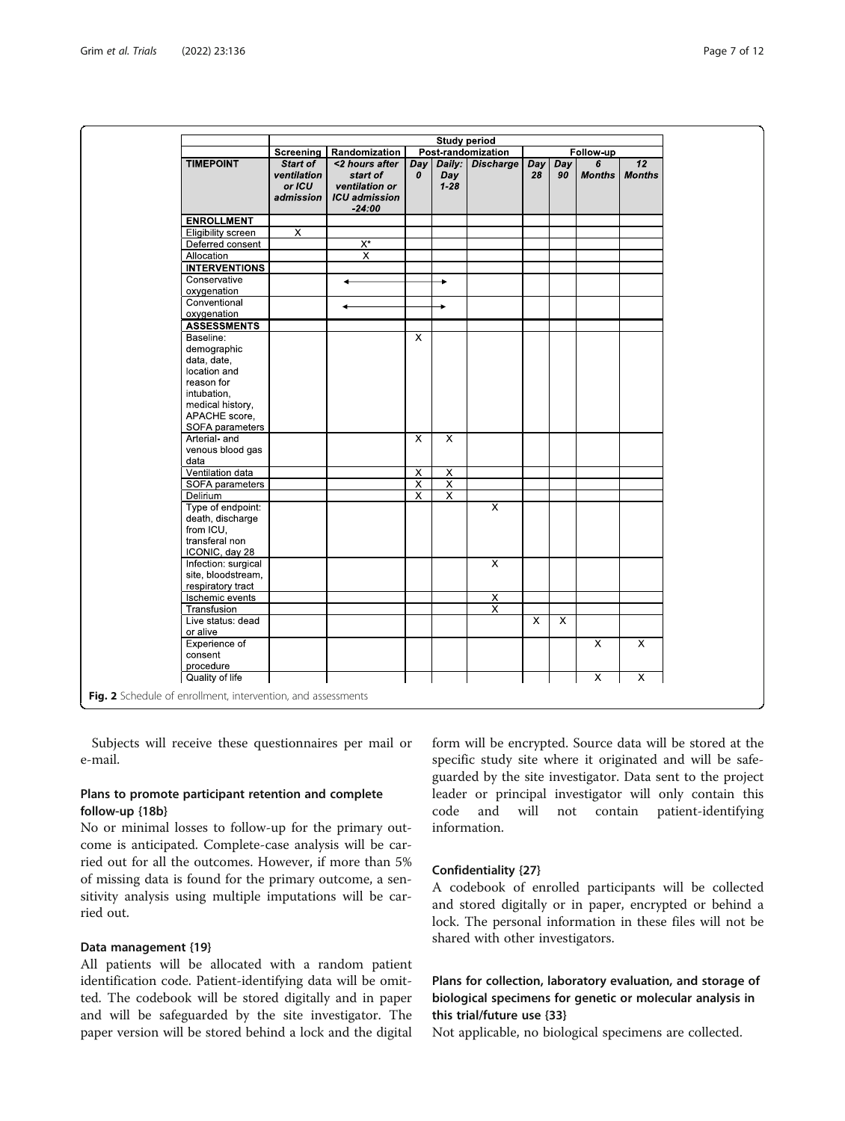<span id="page-6-0"></span>

|                      | <b>Study period</b>     |                                     |                         |                         |                         |     |     |                |                         |
|----------------------|-------------------------|-------------------------------------|-------------------------|-------------------------|-------------------------|-----|-----|----------------|-------------------------|
|                      | Screening               | Post-randomization<br>Randomization |                         |                         | Follow-up               |     |     |                |                         |
| <b>TIMEPOINT</b>     | Start of                | <2 hours after                      | Day                     | Daily:                  | <b>Discharge</b>        | Day | Day | 6              | $\overline{12}$         |
|                      | ventilation             | start of                            | 0                       | Day                     |                         | 28  | 90  | <b>Months</b>  | <b>Months</b>           |
|                      | or ICU                  | ventilation or                      |                         | $1 - 28$                |                         |     |     |                |                         |
|                      | admission               | <b>ICU</b> admission                |                         |                         |                         |     |     |                |                         |
|                      |                         | $-24:00$                            |                         |                         |                         |     |     |                |                         |
| <b>ENROLLMENT</b>    |                         |                                     |                         |                         |                         |     |     |                |                         |
| Eligibility screen   | $\overline{\mathsf{x}}$ |                                     |                         |                         |                         |     |     |                |                         |
| Deferred consent     |                         | $X^*$                               |                         |                         |                         |     |     |                |                         |
| Allocation           |                         | $\overline{\mathsf{x}}$             |                         |                         |                         |     |     |                |                         |
| <b>INTERVENTIONS</b> |                         |                                     |                         |                         |                         |     |     |                |                         |
| Conservative         |                         |                                     |                         | ÷                       |                         |     |     |                |                         |
| oxygenation          |                         |                                     |                         |                         |                         |     |     |                |                         |
| Conventional         |                         |                                     |                         | ۰                       |                         |     |     |                |                         |
| oxygenation          |                         |                                     |                         |                         |                         |     |     |                |                         |
| <b>ASSESSMENTS</b>   |                         |                                     |                         |                         |                         |     |     |                |                         |
| Baseline:            |                         |                                     | $\overline{\mathsf{x}}$ |                         |                         |     |     |                |                         |
| demographic          |                         |                                     |                         |                         |                         |     |     |                |                         |
| data, date,          |                         |                                     |                         |                         |                         |     |     |                |                         |
| location and         |                         |                                     |                         |                         |                         |     |     |                |                         |
| reason for           |                         |                                     |                         |                         |                         |     |     |                |                         |
| intubation.          |                         |                                     |                         |                         |                         |     |     |                |                         |
| medical history,     |                         |                                     |                         |                         |                         |     |     |                |                         |
| APACHE score,        |                         |                                     |                         |                         |                         |     |     |                |                         |
| SOFA parameters      |                         |                                     |                         |                         |                         |     |     |                |                         |
| Arterial- and        |                         |                                     | $\overline{\mathsf{x}}$ | $\overline{\mathsf{x}}$ |                         |     |     |                |                         |
| venous blood gas     |                         |                                     |                         |                         |                         |     |     |                |                         |
| data                 |                         |                                     |                         |                         |                         |     |     |                |                         |
| Ventilation data     |                         |                                     | $\overline{X}$          | $\overline{\mathsf{x}}$ |                         |     |     |                |                         |
| SOFA parameters      |                         |                                     | $\overline{\mathsf{x}}$ | $\overline{\mathsf{x}}$ |                         |     |     |                |                         |
| Delirium             |                         |                                     | $\overline{\mathsf{x}}$ | $\overline{X}$          |                         |     |     |                |                         |
| Type of endpoint:    |                         |                                     |                         |                         | $\overline{\mathsf{x}}$ |     |     |                |                         |
| death, discharge     |                         |                                     |                         |                         |                         |     |     |                |                         |
| from ICU,            |                         |                                     |                         |                         |                         |     |     |                |                         |
| transferal non       |                         |                                     |                         |                         |                         |     |     |                |                         |
| ICONIC, day 28       |                         |                                     |                         |                         |                         |     |     |                |                         |
| Infection: surgical  |                         |                                     |                         |                         | $\overline{\mathsf{x}}$ |     |     |                |                         |
| site, bloodstream,   |                         |                                     |                         |                         |                         |     |     |                |                         |
| respiratory tract    |                         |                                     |                         |                         |                         |     |     |                |                         |
| Ischemic events      |                         |                                     |                         |                         | $\overline{\mathsf{x}}$ |     |     |                |                         |
| Transfusion          |                         |                                     |                         |                         | $\overline{\mathsf{x}}$ |     |     |                |                         |
| Live status: dead    |                         |                                     |                         |                         |                         | X   | X   |                |                         |
| or alive             |                         |                                     |                         |                         |                         |     |     |                |                         |
| Experience of        |                         |                                     |                         |                         |                         |     |     | $\overline{X}$ | $\overline{X}$          |
| consent              |                         |                                     |                         |                         |                         |     |     |                |                         |
| procedure            |                         |                                     |                         |                         |                         |     |     |                |                         |
|                      |                         |                                     |                         |                         |                         |     |     | X              | $\overline{\mathsf{x}}$ |

Subjects will receive these questionnaires per mail or e-mail.

### Plans to promote participant retention and complete follow-up {18b}

No or minimal losses to follow-up for the primary outcome is anticipated. Complete-case analysis will be carried out for all the outcomes. However, if more than 5% of missing data is found for the primary outcome, a sensitivity analysis using multiple imputations will be carried out.

### Data management {19}

All patients will be allocated with a random patient identification code. Patient-identifying data will be omitted. The codebook will be stored digitally and in paper and will be safeguarded by the site investigator. The paper version will be stored behind a lock and the digital form will be encrypted. Source data will be stored at the specific study site where it originated and will be safeguarded by the site investigator. Data sent to the project leader or principal investigator will only contain this code and will not contain patient-identifying information.

### Confidentiality {27}

A codebook of enrolled participants will be collected and stored digitally or in paper, encrypted or behind a lock. The personal information in these files will not be shared with other investigators.

### Plans for collection, laboratory evaluation, and storage of biological specimens for genetic or molecular analysis in this trial/future use {33}

Not applicable, no biological specimens are collected.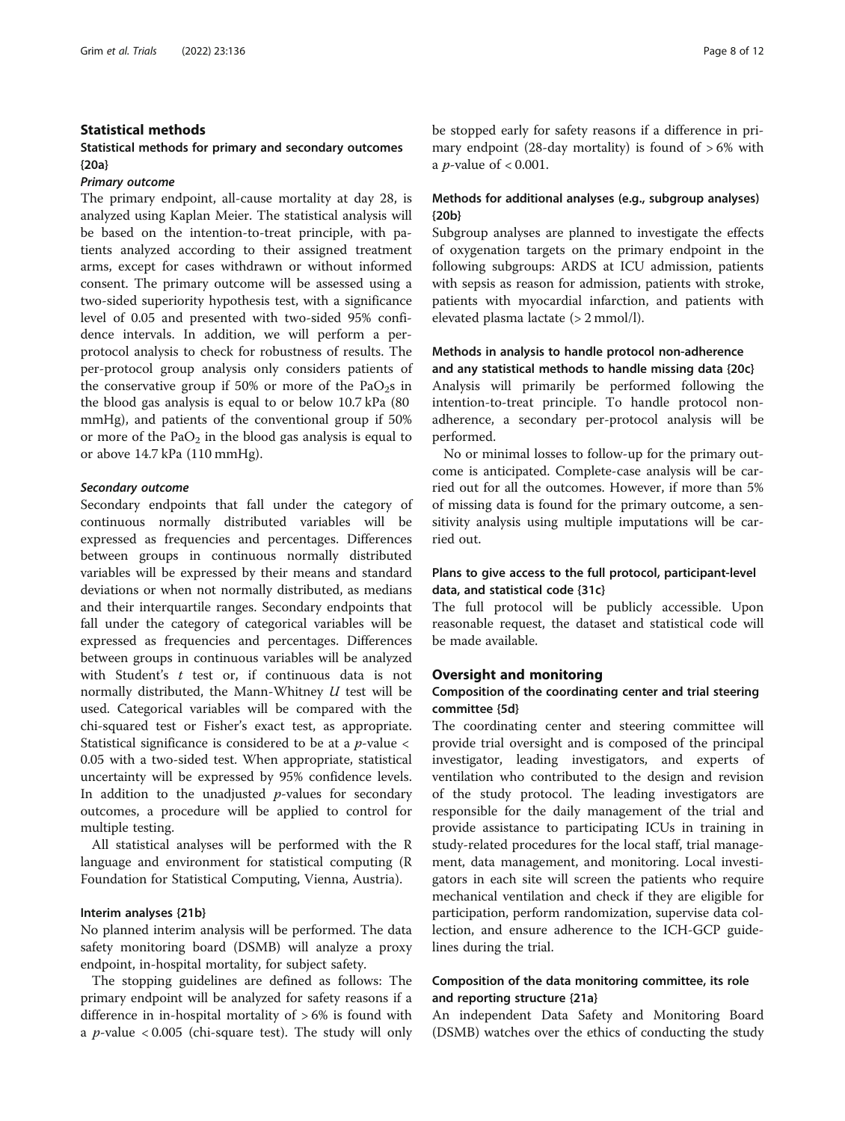### Statistical methods

### Statistical methods for primary and secondary outcomes {20a}

#### Primary outcome

The primary endpoint, all-cause mortality at day 28, is analyzed using Kaplan Meier. The statistical analysis will be based on the intention-to-treat principle, with patients analyzed according to their assigned treatment arms, except for cases withdrawn or without informed consent. The primary outcome will be assessed using a two-sided superiority hypothesis test, with a significance level of 0.05 and presented with two-sided 95% confidence intervals. In addition, we will perform a perprotocol analysis to check for robustness of results. The per-protocol group analysis only considers patients of the conservative group if 50% or more of the  $PaO<sub>2</sub>$ s in the blood gas analysis is equal to or below 10.7 kPa (80 mmHg), and patients of the conventional group if 50% or more of the  $PaO<sub>2</sub>$  in the blood gas analysis is equal to or above 14.7 kPa (110 mmHg).

### Secondary outcome

Secondary endpoints that fall under the category of continuous normally distributed variables will be expressed as frequencies and percentages. Differences between groups in continuous normally distributed variables will be expressed by their means and standard deviations or when not normally distributed, as medians and their interquartile ranges. Secondary endpoints that fall under the category of categorical variables will be expressed as frequencies and percentages. Differences between groups in continuous variables will be analyzed with Student's  $t$  test or, if continuous data is not normally distributed, the Mann-Whitney U test will be used. Categorical variables will be compared with the chi-squared test or Fisher's exact test, as appropriate. Statistical significance is considered to be at a  $p$ -value  $\lt$ 0.05 with a two-sided test. When appropriate, statistical uncertainty will be expressed by 95% confidence levels. In addition to the unadjusted  $p$ -values for secondary outcomes, a procedure will be applied to control for multiple testing.

All statistical analyses will be performed with the R language and environment for statistical computing (R Foundation for Statistical Computing, Vienna, Austria).

### Interim analyses {21b}

No planned interim analysis will be performed. The data safety monitoring board (DSMB) will analyze a proxy endpoint, in-hospital mortality, for subject safety.

The stopping guidelines are defined as follows: The primary endpoint will be analyzed for safety reasons if a difference in in-hospital mortality of  $> 6\%$  is found with a *p*-value  $<0.005$  (chi-square test). The study will only be stopped early for safety reasons if a difference in primary endpoint (28-day mortality) is found of  $>6\%$  with a *p*-value of  $< 0.001$ .

### Methods for additional analyses (e.g., subgroup analyses) {20b}

Subgroup analyses are planned to investigate the effects of oxygenation targets on the primary endpoint in the following subgroups: ARDS at ICU admission, patients with sepsis as reason for admission, patients with stroke, patients with myocardial infarction, and patients with elevated plasma lactate (> 2 mmol/l).

### Methods in analysis to handle protocol non-adherence and any statistical methods to handle missing data {20c}

Analysis will primarily be performed following the intention-to-treat principle. To handle protocol nonadherence, a secondary per-protocol analysis will be performed.

No or minimal losses to follow-up for the primary outcome is anticipated. Complete-case analysis will be carried out for all the outcomes. However, if more than 5% of missing data is found for the primary outcome, a sensitivity analysis using multiple imputations will be carried out.

### Plans to give access to the full protocol, participant-level data, and statistical code {31c}

The full protocol will be publicly accessible. Upon reasonable request, the dataset and statistical code will be made available.

### Oversight and monitoring

### Composition of the coordinating center and trial steering committee {5d}

The coordinating center and steering committee will provide trial oversight and is composed of the principal investigator, leading investigators, and experts of ventilation who contributed to the design and revision of the study protocol. The leading investigators are responsible for the daily management of the trial and provide assistance to participating ICUs in training in study-related procedures for the local staff, trial management, data management, and monitoring. Local investigators in each site will screen the patients who require mechanical ventilation and check if they are eligible for participation, perform randomization, supervise data collection, and ensure adherence to the ICH-GCP guidelines during the trial.

### Composition of the data monitoring committee, its role and reporting structure {21a}

An independent Data Safety and Monitoring Board (DSMB) watches over the ethics of conducting the study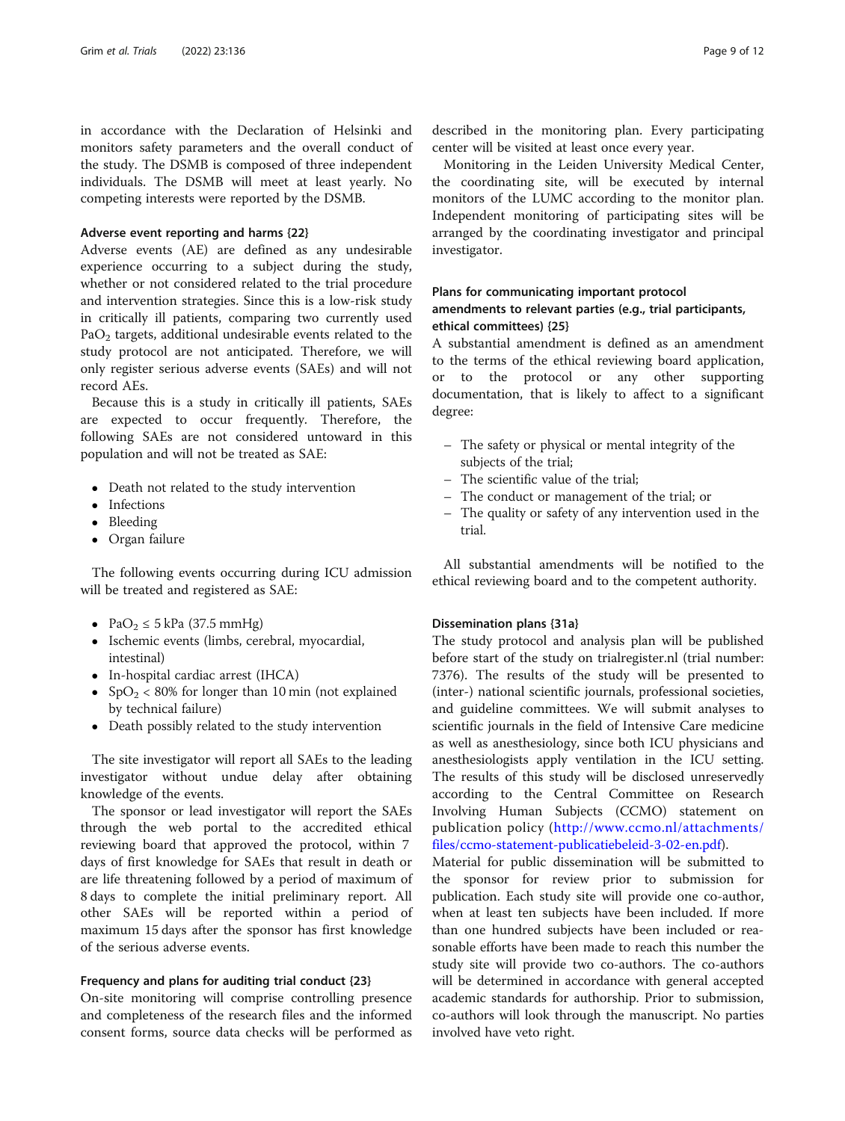in accordance with the Declaration of Helsinki and monitors safety parameters and the overall conduct of the study. The DSMB is composed of three independent individuals. The DSMB will meet at least yearly. No competing interests were reported by the DSMB.

### Adverse event reporting and harms {22}

Adverse events (AE) are defined as any undesirable experience occurring to a subject during the study, whether or not considered related to the trial procedure and intervention strategies. Since this is a low-risk study in critically ill patients, comparing two currently used  $PaO<sub>2</sub>$  targets, additional undesirable events related to the study protocol are not anticipated. Therefore, we will only register serious adverse events (SAEs) and will not record AEs.

Because this is a study in critically ill patients, SAEs are expected to occur frequently. Therefore, the following SAEs are not considered untoward in this population and will not be treated as SAE:

- Death not related to the study intervention
- Infections
- Bleeding
- Organ failure

The following events occurring during ICU admission will be treated and registered as SAE:

- PaO<sub>2</sub>  $\leq$  5 kPa (37.5 mmHg)
- Ischemic events (limbs, cerebral, myocardial, intestinal)
- In-hospital cardiac arrest (IHCA)
- $SpO<sub>2</sub> < 80%$  for longer than 10 min (not explained by technical failure)
- Death possibly related to the study intervention

The site investigator will report all SAEs to the leading investigator without undue delay after obtaining knowledge of the events.

The sponsor or lead investigator will report the SAEs through the web portal to the accredited ethical reviewing board that approved the protocol, within 7 days of first knowledge for SAEs that result in death or are life threatening followed by a period of maximum of 8 days to complete the initial preliminary report. All other SAEs will be reported within a period of maximum 15 days after the sponsor has first knowledge of the serious adverse events.

#### Frequency and plans for auditing trial conduct {23}

On-site monitoring will comprise controlling presence and completeness of the research files and the informed consent forms, source data checks will be performed as

described in the monitoring plan. Every participating center will be visited at least once every year.

Monitoring in the Leiden University Medical Center, the coordinating site, will be executed by internal monitors of the LUMC according to the monitor plan. Independent monitoring of participating sites will be arranged by the coordinating investigator and principal investigator.

### Plans for communicating important protocol amendments to relevant parties (e.g., trial participants, ethical committees) {25}

A substantial amendment is defined as an amendment to the terms of the ethical reviewing board application, or to the protocol or any other supporting documentation, that is likely to affect to a significant degree:

- The safety or physical or mental integrity of the subjects of the trial;
- The scientific value of the trial;
- The conduct or management of the trial; or
- The quality or safety of any intervention used in the trial.

All substantial amendments will be notified to the ethical reviewing board and to the competent authority.

#### Dissemination plans {31a}

The study protocol and analysis plan will be published before start of the study on trialregister.nl (trial number: 7376). The results of the study will be presented to (inter-) national scientific journals, professional societies, and guideline committees. We will submit analyses to scientific journals in the field of Intensive Care medicine as well as anesthesiology, since both ICU physicians and anesthesiologists apply ventilation in the ICU setting. The results of this study will be disclosed unreservedly according to the Central Committee on Research Involving Human Subjects (CCMO) statement on publication policy ([http://www.ccmo.nl/attachments/](http://www.ccmo.nl/attachments/files/ccmo-statement-publicatiebeleid-3-02-en.pdf) [files/ccmo-statement-publicatiebeleid-3-02-en.pdf](http://www.ccmo.nl/attachments/files/ccmo-statement-publicatiebeleid-3-02-en.pdf)).

Material for public dissemination will be submitted to the sponsor for review prior to submission for publication. Each study site will provide one co-author, when at least ten subjects have been included. If more than one hundred subjects have been included or reasonable efforts have been made to reach this number the study site will provide two co-authors. The co-authors will be determined in accordance with general accepted academic standards for authorship. Prior to submission, co-authors will look through the manuscript. No parties involved have veto right.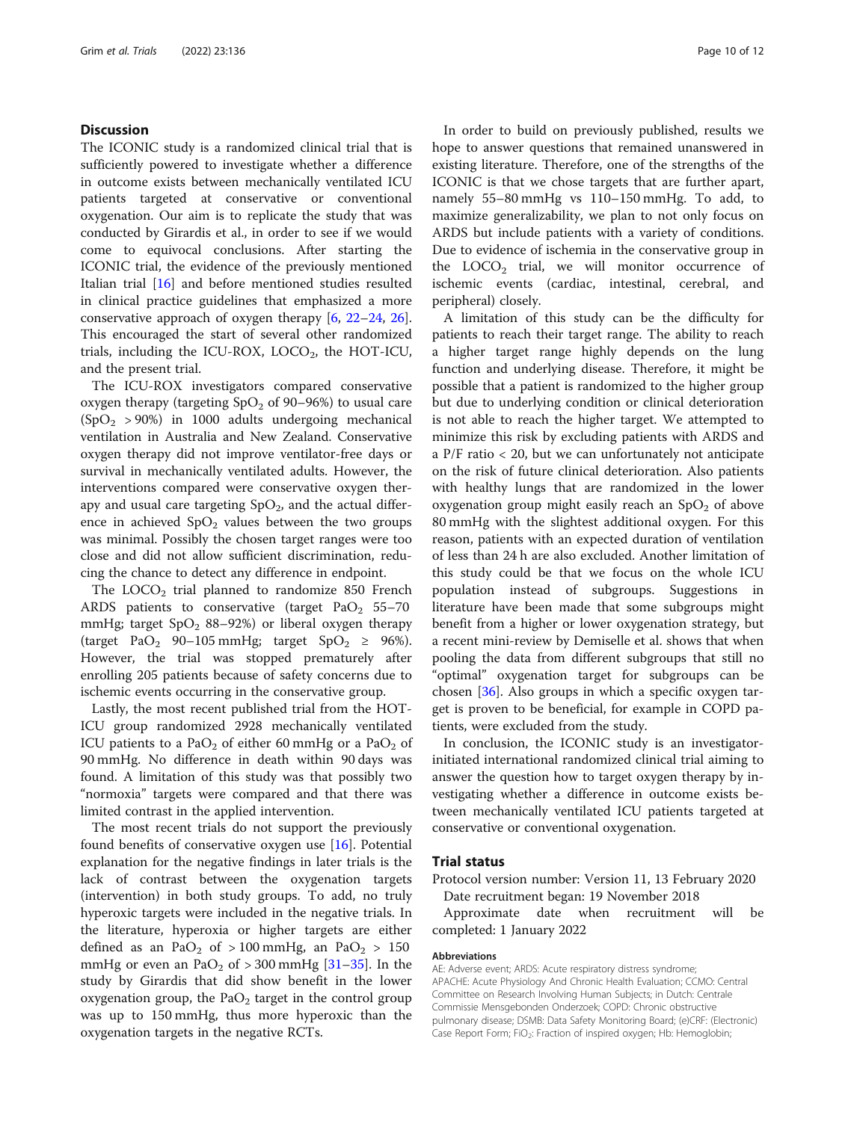### **Discussion**

The ICONIC study is a randomized clinical trial that is sufficiently powered to investigate whether a difference in outcome exists between mechanically ventilated ICU patients targeted at conservative or conventional oxygenation. Our aim is to replicate the study that was conducted by Girardis et al., in order to see if we would come to equivocal conclusions. After starting the ICONIC trial, the evidence of the previously mentioned Italian trial [[16](#page-11-0)] and before mentioned studies resulted in clinical practice guidelines that emphasized a more conservative approach of oxygen therapy [\[6](#page-10-0), [22](#page-11-0)–[24,](#page-11-0) [26](#page-11-0)]. This encouraged the start of several other randomized trials, including the ICU-ROX,  $LOCO<sub>2</sub>$ , the HOT-ICU, and the present trial.

The ICU-ROX investigators compared conservative oxygen therapy (targeting  $SpO<sub>2</sub>$  of 90–96%) to usual care  $(SpO<sub>2</sub> > 90%)$  in 1000 adults undergoing mechanical ventilation in Australia and New Zealand. Conservative oxygen therapy did not improve ventilator-free days or survival in mechanically ventilated adults. However, the interventions compared were conservative oxygen therapy and usual care targeting  $SpO<sub>2</sub>$ , and the actual difference in achieved  $SpO<sub>2</sub>$  values between the two groups was minimal. Possibly the chosen target ranges were too close and did not allow sufficient discrimination, reducing the chance to detect any difference in endpoint.

The  $LOCO<sub>2</sub>$  trial planned to randomize 850 French ARDS patients to conservative (target  $PaO<sub>2</sub> 55-70$ mmHg; target  $SpO<sub>2</sub> 88–92%)$  or liberal oxygen therapy (target PaO<sub>2</sub> 90–105 mmHg; target SpO<sub>2</sub>  $\geq$  96%). However, the trial was stopped prematurely after enrolling 205 patients because of safety concerns due to ischemic events occurring in the conservative group.

Lastly, the most recent published trial from the HOT-ICU group randomized 2928 mechanically ventilated ICU patients to a PaO<sub>2</sub> of either 60 mmHg or a PaO<sub>2</sub> of 90 mmHg. No difference in death within 90 days was found. A limitation of this study was that possibly two "normoxia" targets were compared and that there was limited contrast in the applied intervention.

The most recent trials do not support the previously found benefits of conservative oxygen use [[16\]](#page-11-0). Potential explanation for the negative findings in later trials is the lack of contrast between the oxygenation targets (intervention) in both study groups. To add, no truly hyperoxic targets were included in the negative trials. In the literature, hyperoxia or higher targets are either defined as an PaO<sub>2</sub> of > 100 mmHg, an PaO<sub>2</sub> > 150 mmHg or even an PaO<sub>2</sub> of  $>$  300 mmHg [\[31](#page-11-0)–[35\]](#page-11-0). In the study by Girardis that did show benefit in the lower oxygenation group, the  $PaO<sub>2</sub>$  target in the control group was up to 150 mmHg, thus more hyperoxic than the oxygenation targets in the negative RCTs.

In order to build on previously published, results we hope to answer questions that remained unanswered in existing literature. Therefore, one of the strengths of the ICONIC is that we chose targets that are further apart, namely 55–80 mmHg vs 110–150 mmHg. To add, to maximize generalizability, we plan to not only focus on ARDS but include patients with a variety of conditions. Due to evidence of ischemia in the conservative group in the  $LOCO<sub>2</sub>$  trial, we will monitor occurrence of ischemic events (cardiac, intestinal, cerebral, and peripheral) closely.

A limitation of this study can be the difficulty for patients to reach their target range. The ability to reach a higher target range highly depends on the lung function and underlying disease. Therefore, it might be possible that a patient is randomized to the higher group but due to underlying condition or clinical deterioration is not able to reach the higher target. We attempted to minimize this risk by excluding patients with ARDS and a P/F ratio < 20, but we can unfortunately not anticipate on the risk of future clinical deterioration. Also patients with healthy lungs that are randomized in the lower oxygenation group might easily reach an  $SpO<sub>2</sub>$  of above 80 mmHg with the slightest additional oxygen. For this reason, patients with an expected duration of ventilation of less than 24 h are also excluded. Another limitation of this study could be that we focus on the whole ICU population instead of subgroups. Suggestions in literature have been made that some subgroups might benefit from a higher or lower oxygenation strategy, but a recent mini-review by Demiselle et al. shows that when pooling the data from different subgroups that still no "optimal" oxygenation target for subgroups can be chosen [[36\]](#page-11-0). Also groups in which a specific oxygen target is proven to be beneficial, for example in COPD patients, were excluded from the study.

In conclusion, the ICONIC study is an investigatorinitiated international randomized clinical trial aiming to answer the question how to target oxygen therapy by investigating whether a difference in outcome exists between mechanically ventilated ICU patients targeted at conservative or conventional oxygenation.

#### Trial status

Protocol version number: Version 11, 13 February 2020 Date recruitment began: 19 November 2018

Approximate date when recruitment will be completed: 1 January 2022

### Abbreviations

AE: Adverse event; ARDS: Acute respiratory distress syndrome; APACHE: Acute Physiology And Chronic Health Evaluation; CCMO: Central Committee on Research Involving Human Subjects; in Dutch: Centrale Commissie Mensgebonden Onderzoek; COPD: Chronic obstructive pulmonary disease; DSMB: Data Safety Monitoring Board; (e)CRF: (Electronic) Case Report Form; FiO<sub>2</sub>: Fraction of inspired oxygen; Hb: Hemoglobin;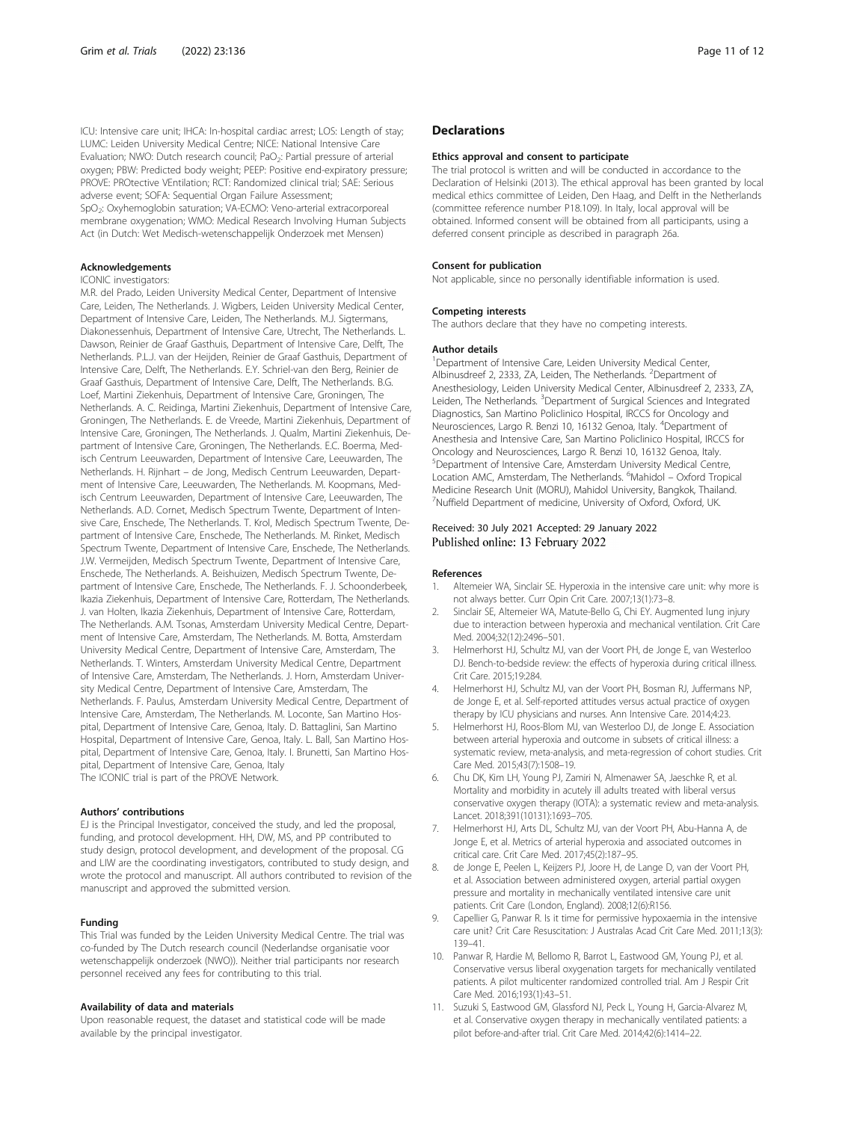<span id="page-10-0"></span>ICU: Intensive care unit; IHCA: In-hospital cardiac arrest; LOS: Length of stay; LUMC: Leiden University Medical Centre; NICE: National Intensive Care Evaluation; NWO: Dutch research council; PaO<sub>2</sub>: Partial pressure of arterial oxygen; PBW: Predicted body weight; PEEP: Positive end-expiratory pressure; PROVE: PROtective VEntilation; RCT: Randomized clinical trial; SAE: Serious adverse event; SOFA: Sequential Organ Failure Assessment; SpO<sub>2</sub>: Oxyhemoglobin saturation; VA-ECMO: Veno-arterial extracorporeal membrane oxygenation; WMO: Medical Research Involving Human Subjects Act (in Dutch: Wet Medisch-wetenschappelijk Onderzoek met Mensen)

#### Acknowledgements

#### ICONIC investigators:

M.R. del Prado, Leiden University Medical Center, Department of Intensive Care, Leiden, The Netherlands. J. Wigbers, Leiden University Medical Center, Department of Intensive Care, Leiden, The Netherlands. M.J. Sigtermans, Diakonessenhuis, Department of Intensive Care, Utrecht, The Netherlands. L. Dawson, Reinier de Graaf Gasthuis, Department of Intensive Care, Delft, The Netherlands. P.L.J. van der Heijden, Reinier de Graaf Gasthuis, Department of Intensive Care, Delft, The Netherlands. E.Y. Schriel-van den Berg, Reinier de Graaf Gasthuis, Department of Intensive Care, Delft, The Netherlands. B.G. Loef, Martini Ziekenhuis, Department of Intensive Care, Groningen, The Netherlands. A. C. Reidinga, Martini Ziekenhuis, Department of Intensive Care, Groningen, The Netherlands. E. de Vreede, Martini Ziekenhuis, Department of Intensive Care, Groningen, The Netherlands. J. Qualm, Martini Ziekenhuis, Department of Intensive Care, Groningen, The Netherlands. E.C. Boerma, Medisch Centrum Leeuwarden, Department of Intensive Care, Leeuwarden, The Netherlands. H. Rijnhart – de Jong, Medisch Centrum Leeuwarden, Department of Intensive Care, Leeuwarden, The Netherlands. M. Koopmans, Medisch Centrum Leeuwarden, Department of Intensive Care, Leeuwarden, The Netherlands. A.D. Cornet, Medisch Spectrum Twente, Department of Intensive Care, Enschede, The Netherlands. T. Krol, Medisch Spectrum Twente, Department of Intensive Care, Enschede, The Netherlands. M. Rinket, Medisch Spectrum Twente, Department of Intensive Care, Enschede, The Netherlands. J.W. Vermeijden, Medisch Spectrum Twente, Department of Intensive Care, Enschede, The Netherlands. A. Beishuizen, Medisch Spectrum Twente, Department of Intensive Care, Enschede, The Netherlands. F. J. Schoonderbeek, Ikazia Ziekenhuis, Department of Intensive Care, Rotterdam, The Netherlands. J. van Holten, Ikazia Ziekenhuis, Department of Intensive Care, Rotterdam, The Netherlands. A.M. Tsonas, Amsterdam University Medical Centre, Department of Intensive Care, Amsterdam, The Netherlands. M. Botta, Amsterdam University Medical Centre, Department of Intensive Care, Amsterdam, The Netherlands. T. Winters, Amsterdam University Medical Centre, Department of Intensive Care, Amsterdam, The Netherlands. J. Horn, Amsterdam University Medical Centre, Department of Intensive Care, Amsterdam, The Netherlands. F. Paulus, Amsterdam University Medical Centre, Department of Intensive Care, Amsterdam, The Netherlands. M. Loconte, San Martino Hospital, Department of Intensive Care, Genoa, Italy. D. Battaglini, San Martino Hospital, Department of Intensive Care, Genoa, Italy. L. Ball, San Martino Hospital, Department of Intensive Care, Genoa, Italy. I. Brunetti, San Martino Hospital, Department of Intensive Care, Genoa, Italy The ICONIC trial is part of the PROVE Network.

#### Authors' contributions

EJ is the Principal Investigator, conceived the study, and led the proposal, funding, and protocol development. HH, DW, MS, and PP contributed to study design, protocol development, and development of the proposal. CG and LIW are the coordinating investigators, contributed to study design, and wrote the protocol and manuscript. All authors contributed to revision of the manuscript and approved the submitted version.

### Funding

This Trial was funded by the Leiden University Medical Centre. The trial was co-funded by The Dutch research council (Nederlandse organisatie voor wetenschappelijk onderzoek (NWO)). Neither trial participants nor research personnel received any fees for contributing to this trial.

#### Availability of data and materials

Upon reasonable request, the dataset and statistical code will be made available by the principal investigator.

### **Declarations**

#### Ethics approval and consent to participate

The trial protocol is written and will be conducted in accordance to the Declaration of Helsinki (2013). The ethical approval has been granted by local medical ethics committee of Leiden, Den Haag, and Delft in the Netherlands (committee reference number P18.109). In Italy, local approval will be obtained. Informed consent will be obtained from all participants, using a deferred consent principle as described in paragraph 26a.

#### Consent for publication

Not applicable, since no personally identifiable information is used.

#### Competing interests

The authors declare that they have no competing interests.

#### Author details

<sup>1</sup>Department of Intensive Care, Leiden University Medical Center, Albinusdreef 2, 2333, ZA, Leiden, The Netherlands. <sup>2</sup>Department of Anesthesiology, Leiden University Medical Center, Albinusdreef 2, 2333, ZA, Leiden, The Netherlands. <sup>3</sup>Department of Surgical Sciences and Integrated Diagnostics, San Martino Policlinico Hospital, IRCCS for Oncology and Neurosciences, Largo R. Benzi 10, 16132 Genoa, Italy. <sup>4</sup>Department of Anesthesia and Intensive Care, San Martino Policlinico Hospital, IRCCS for Oncology and Neurosciences, Largo R. Benzi 10, 16132 Genoa, Italy. 5 Department of Intensive Care, Amsterdam University Medical Centre, Location AMC, Amsterdam, The Netherlands. <sup>6</sup>Mahidol - Oxford Tropical Medicine Research Unit (MORU), Mahidol University, Bangkok, Thailand. 7 Nuffield Department of medicine, University of Oxford, Oxford, UK.

#### Received: 30 July 2021 Accepted: 29 January 2022 Published online: 13 February 2022

#### References

- 1. Altemeier WA, Sinclair SE. Hyperoxia in the intensive care unit: why more is not always better. Curr Opin Crit Care. 2007;13(1):73–8.
- 2. Sinclair SE, Altemeier WA, Matute-Bello G, Chi EY. Augmented lung injury due to interaction between hyperoxia and mechanical ventilation. Crit Care Med. 2004;32(12):2496–501.
- 3. Helmerhorst HJ, Schultz MJ, van der Voort PH, de Jonge E, van Westerloo DJ. Bench-to-bedside review: the effects of hyperoxia during critical illness. Crit Care. 2015;19:284.
- 4. Helmerhorst HJ, Schultz MJ, van der Voort PH, Bosman RJ, Juffermans NP, de Jonge E, et al. Self-reported attitudes versus actual practice of oxygen therapy by ICU physicians and nurses. Ann Intensive Care. 2014;4:23.
- 5. Helmerhorst HJ, Roos-Blom MJ, van Westerloo DJ, de Jonge E. Association between arterial hyperoxia and outcome in subsets of critical illness: a systematic review, meta-analysis, and meta-regression of cohort studies. Crit Care Med. 2015;43(7):1508–19.
- 6. Chu DK, Kim LH, Young PJ, Zamiri N, Almenawer SA, Jaeschke R, et al. Mortality and morbidity in acutely ill adults treated with liberal versus conservative oxygen therapy (IOTA): a systematic review and meta-analysis. Lancet. 2018;391(10131):1693–705.
- 7. Helmerhorst HJ, Arts DL, Schultz MJ, van der Voort PH, Abu-Hanna A, de Jonge E, et al. Metrics of arterial hyperoxia and associated outcomes in critical care. Crit Care Med. 2017;45(2):187–95.
- 8. de Jonge E, Peelen L, Keijzers PJ, Joore H, de Lange D, van der Voort PH, et al. Association between administered oxygen, arterial partial oxygen pressure and mortality in mechanically ventilated intensive care unit patients. Crit Care (London, England). 2008;12(6):R156.
- Capellier G, Panwar R. Is it time for permissive hypoxaemia in the intensive care unit? Crit Care Resuscitation: J Australas Acad Crit Care Med. 2011;13(3): 139–41.
- 10. Panwar R, Hardie M, Bellomo R, Barrot L, Eastwood GM, Young PJ, et al. Conservative versus liberal oxygenation targets for mechanically ventilated patients. A pilot multicenter randomized controlled trial. Am J Respir Crit Care Med. 2016;193(1):43–51.
- 11. Suzuki S, Eastwood GM, Glassford NJ, Peck L, Young H, Garcia-Alvarez M, et al. Conservative oxygen therapy in mechanically ventilated patients: a pilot before-and-after trial. Crit Care Med. 2014;42(6):1414–22.